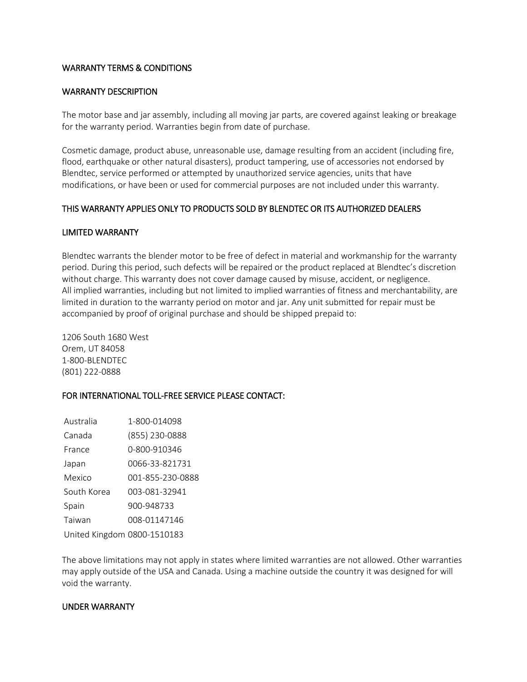# WARRANTY TERMS & CONDITIONS

#### WARRANTY DESCRIPTION

The motor base and jar assembly, including all moving jar parts, are covered against leaking or breakage for the warranty period. Warranties begin from date of purchase.

Cosmetic damage, product abuse, unreasonable use, damage resulting from an accident (including fire, flood, earthquake or other natural disasters), product tampering, use of accessories not endorsed by Blendtec, service performed or attempted by unauthorized service agencies, units that have modifications, or have been or used for commercial purposes are not included under this warranty.

## THIS WARRANTY APPLIES ONLY TO PRODUCTS SOLD BY BLENDTEC OR ITS AUTHORIZED DEALERS

#### LIMITED WARRANTY

Blendtec warrants the blender motor to be free of defect in material and workmanship for the warranty period. During this period, such defects will be repaired or the product replaced at Blendtec's discretion without charge. This warranty does not cover damage caused by misuse, accident, or negligence. All implied warranties, including but not limited to implied warranties of fitness and merchantability, are limited in duration to the warranty period on motor and jar. Any unit submitted for repair must be accompanied by proof of original purchase and should be shipped prepaid to:

1206 South 1680 West Orem, UT 84058 1-800-BLENDTEC (801) 222-0888

## FOR INTERNATIONAL TOLL-FREE SERVICE PLEASE CONTACT:

| Australia                   | 1-800-014098     |
|-----------------------------|------------------|
| Canada                      | (855) 230-0888   |
| France                      | 0-800-910346     |
| Japan                       | 0066-33-821731   |
| Mexico                      | 001-855-230-0888 |
| South Korea                 | 003-081-32941    |
| Spain                       | 900-948733       |
| Taiwan                      | 008-01147146     |
| United Kingdom 0800-1510183 |                  |

The above limitations may not apply in states where limited warranties are not allowed. Other warranties may apply outside of the USA and Canada. Using a machine outside the country it was designed for will void the warranty.

#### UNDER WARRANTY